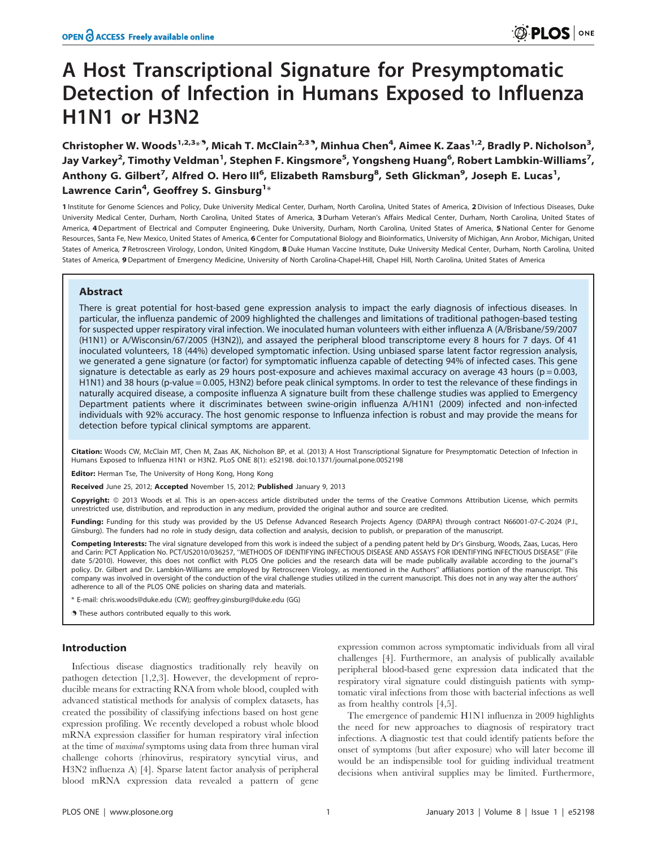# A Host Transcriptional Signature for Presymptomatic Detection of Infection in Humans Exposed to Influenza H1N1 or H3N2

Christopher W. Woods<sup>1,2,3<sub>\*</sub>9, Micah T. McClain<sup>2,39</sup>, Minhua Chen<sup>4</sup>, Aimee K. Zaas<sup>1,2</sup>, Bradly P. Nicholson<sup>3</sup>,</sup> Jay Varkey<sup>2</sup>, Timothy Veldman<sup>1</sup>, Stephen F. Kingsmore<sup>5</sup>, Yongsheng Huang<sup>6</sup>, Robert Lambkin-Williams<sup>7</sup>, Anthony G. Gilbert<sup>7</sup>, Alfred O. Hero III<sup>6</sup>, Elizabeth Ramsburg<sup>8</sup>, Seth Glickman<sup>9</sup>, Joseph E. Lucas<sup>1</sup>, Lawrence Carin<sup>4</sup>, Geoffrey S. Ginsburg<sup>1</sup>\*

1 Institute for Genome Sciences and Policy, Duke University Medical Center, Durham, North Carolina, United States of America, 2 Division of Infectious Diseases, Duke University Medical Center, Durham, North Carolina, United States of America, 3 Durham Veteran's Affairs Medical Center, Durham, North Carolina, United States of America, 4 Department of Electrical and Computer Engineering, Duke University, Durham, North Carolina, United States of America, 5 National Center for Genome Resources, Santa Fe, New Mexico, United States of America, 6 Center for Computational Biology and Bioinformatics, University of Michigan, Ann Arobor, Michigan, United States of America, 7 Retroscreen Virology, London, United Kingdom, 8 Duke Human Vaccine Institute, Duke University Medical Center, Durham, North Carolina, United States of America, 9 Department of Emergency Medicine, University of North Carolina-Chapel-Hill, Chapel Hill, North Carolina, United States of America

# Abstract

There is great potential for host-based gene expression analysis to impact the early diagnosis of infectious diseases. In particular, the influenza pandemic of 2009 highlighted the challenges and limitations of traditional pathogen-based testing for suspected upper respiratory viral infection. We inoculated human volunteers with either influenza A (A/Brisbane/59/2007 (H1N1) or A/Wisconsin/67/2005 (H3N2)), and assayed the peripheral blood transcriptome every 8 hours for 7 days. Of 41 inoculated volunteers, 18 (44%) developed symptomatic infection. Using unbiased sparse latent factor regression analysis, we generated a gene signature (or factor) for symptomatic influenza capable of detecting 94% of infected cases. This gene signature is detectable as early as 29 hours post-exposure and achieves maximal accuracy on average 43 hours ( $p = 0.003$ , H1N1) and 38 hours (p-value = 0.005, H3N2) before peak clinical symptoms. In order to test the relevance of these findings in naturally acquired disease, a composite influenza A signature built from these challenge studies was applied to Emergency Department patients where it discriminates between swine-origin influenza A/H1N1 (2009) infected and non-infected individuals with 92% accuracy. The host genomic response to Influenza infection is robust and may provide the means for detection before typical clinical symptoms are apparent.

Citation: Woods CW, McClain MT, Chen M, Zaas AK, Nicholson BP, et al. (2013) A Host Transcriptional Signature for Presymptomatic Detection of Infection in Humans Exposed to Influenza H1N1 or H3N2. PLoS ONE 8(1): e52198. doi:10.1371/journal.pone.0052198

Editor: Herman Tse, The University of Hong Kong, Hong Kong

Received June 25, 2012; Accepted November 15, 2012; Published January 9, 2013

Copyright: © 2013 Woods et al. This is an open-access article distributed under the terms of the Creative Commons Attribution License, which permits unrestricted use, distribution, and reproduction in any medium, provided the original author and source are credited.

Funding: Funding for this study was provided by the US Defense Advanced Research Projects Agency (DARPA) through contract N66001-07-C-2024 (P.I., Ginsburg). The funders had no role in study design, data collection and analysis, decision to publish, or preparation of the manuscript.

Competing Interests: The viral signature developed from this work is indeed the subject of a pending patent held by Dr's Ginsburg, Woods, Zaas, Lucas, Hero and Carin: PCT Application No. PCT/US2010/036257, ''METHODS OF IDENTIFYING INFECTIOUS DISEASE AND ASSAYS FOR IDENTIFYING INFECTIOUS DISEASE'' (File date 5/2010). However, this does not conflict with PLOS One policies and the research data will be made publically available according to the journal''s policy. Dr. Gilbert and Dr. Lambkin-Williams are employed by Retroscreen Virology, as mentioned in the Authors'' affiliations portion of the manuscript. This company was involved in oversight of the conduction of the viral challenge studies utilized in the current manuscript. This does not in any way alter the authors' adherence to all of the PLOS ONE policies on sharing data and materials.

\* E-mail: chris.woods@duke.edu (CW); geoffrey.ginsburg@duke.edu (GG)

. These authors contributed equally to this work.

## Introduction

Infectious disease diagnostics traditionally rely heavily on pathogen detection [1,2,3]. However, the development of reproducible means for extracting RNA from whole blood, coupled with advanced statistical methods for analysis of complex datasets, has created the possibility of classifying infections based on host gene expression profiling. We recently developed a robust whole blood mRNA expression classifier for human respiratory viral infection at the time of maximal symptoms using data from three human viral challenge cohorts (rhinovirus, respiratory syncytial virus, and H3N2 influenza A) [4]. Sparse latent factor analysis of peripheral blood mRNA expression data revealed a pattern of gene

expression common across symptomatic individuals from all viral challenges [4]. Furthermore, an analysis of publically available peripheral blood-based gene expression data indicated that the respiratory viral signature could distinguish patients with symptomatic viral infections from those with bacterial infections as well as from healthy controls [4,5].

The emergence of pandemic H1N1 influenza in 2009 highlights the need for new approaches to diagnosis of respiratory tract infections. A diagnostic test that could identify patients before the onset of symptoms (but after exposure) who will later become ill would be an indispensible tool for guiding individual treatment decisions when antiviral supplies may be limited. Furthermore,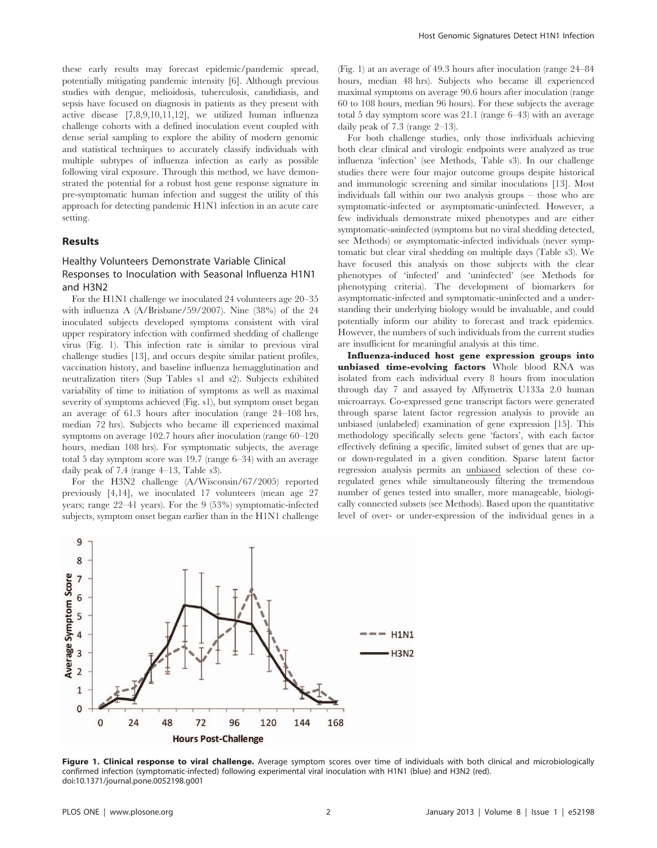these early results may forecast epidemic/pandemic spread, potentially mitigating pandemic intensity [6]. Although previous studies with dengue, melioidosis, tuberculosis, candidiasis, and sepsis have focused on diagnosis in patients as they present with active disease [7,8,9,10,11,12], we utilized human influenza challenge cohorts with a defined inoculation event coupled with dense serial sampling to explore the ability of modern genomic and statistical techniques to accurately classify individuals with multiple subtypes of influenza infection as early as possible following viral exposure. Through this method, we have demonstrated the potential for a robust host gene response signature in pre-symptomatic human infection and suggest the utility of this approach for detecting pandemic H1N1 infection in an acute care setting.

# Results

# Healthy Volunteers Demonstrate Variable Clinical Responses to Inoculation with Seasonal Influenza H1N1 and H3N2

For the H1N1 challenge we inoculated 24 volunteers age 20–35 with influenza A (A/Brisbane/59/2007). Nine (38%) of the 24 inoculated subjects developed symptoms consistent with viral upper respiratory infection with confirmed shedding of challenge virus (Fig. 1). This infection rate is similar to previous viral challenge studies [13], and occurs despite similar patient profiles, vaccination history, and baseline influenza hemagglutination and neutralization titers (Sup Tables s1 and s2). Subjects exhibited variability of time to initiation of symptoms as well as maximal severity of symptoms achieved (Fig. s1), but symptom onset began an average of 61.3 hours after inoculation (range 24–108 hrs, median 72 hrs). Subjects who became ill experienced maximal symptoms on average 102.7 hours after inoculation (range 60–120 hours, median 108 hrs). For symptomatic subjects, the average total 5 day symptom score was 19.7 (range 6–34) with an average daily peak of 7.4 (range 4–13, Table s3).

For the H3N2 challenge (A/Wisconsin/67/2005) reported previously [4,14], we inoculated 17 volunteers (mean age 27 years; range 22–41 years). For the 9 (53%) symptomatic-infected subjects, symptom onset began earlier than in the H1N1 challenge

(Fig. 1) at an average of 49.3 hours after inoculation (range 24–84 hours, median 48 hrs). Subjects who became ill experienced maximal symptoms on average 90.6 hours after inoculation (range 60 to 108 hours, median 96 hours). For these subjects the average total 5 day symptom score was 21.1 (range 6–43) with an average daily peak of 7.3 (range 2–13).

For both challenge studies, only those individuals achieving both clear clinical and virologic endpoints were analyzed as true influenza 'infection' (see Methods, Table s3). In our challenge studies there were four major outcome groups despite historical and immunologic screening and similar inoculations [13]. Most individuals fall within our two analysis groups – those who are symptomatic-infected or asymptomatic-uninfected. However, a few individuals demonstrate mixed phenotypes and are either symptomatic-uninfected (symptoms but no viral shedding detected, see Methods) or asymptomatic-infected individuals (never symptomatic but clear viral shedding on multiple days (Table s3). We have focused this analysis on those subjects with the clear phenotypes of 'infected' and 'uninfected' (see Methods for phenotyping criteria). The development of biomarkers for asymptomatic-infected and symptomatic-uninfected and a understanding their underlying biology would be invaluable, and could potentially inform our ability to forecast and track epidemics. However, the numbers of such individuals from the current studies are insufficient for meaningful analysis at this time.

Influenza-induced host gene expression groups into unbiased time-evolving factors Whole blood RNA was isolated from each individual every 8 hours from inoculation through day 7 and assayed by Affymetrix U133a 2.0 human microarrays. Co-expressed gene transcript factors were generated through sparse latent factor regression analysis to provide an unbiased (unlabeled) examination of gene expression [15]. This methodology specifically selects gene 'factors', with each factor effectively defining a specific, limited subset of genes that are upor down-regulated in a given condition. Sparse latent factor regression analysis permits an unbiased selection of these coregulated genes while simultaneously filtering the tremendous number of genes tested into smaller, more manageable, biologically connected subsets (see Methods). Based upon the quantitative level of over- or under-expression of the individual genes in a



Figure 1. Clinical response to viral challenge. Average symptom scores over time of individuals with both clinical and microbiologically confirmed infection (symptomatic-infected) following experimental viral inoculation with H1N1 (blue) and H3N2 (red). doi:10.1371/journal.pone.0052198.g001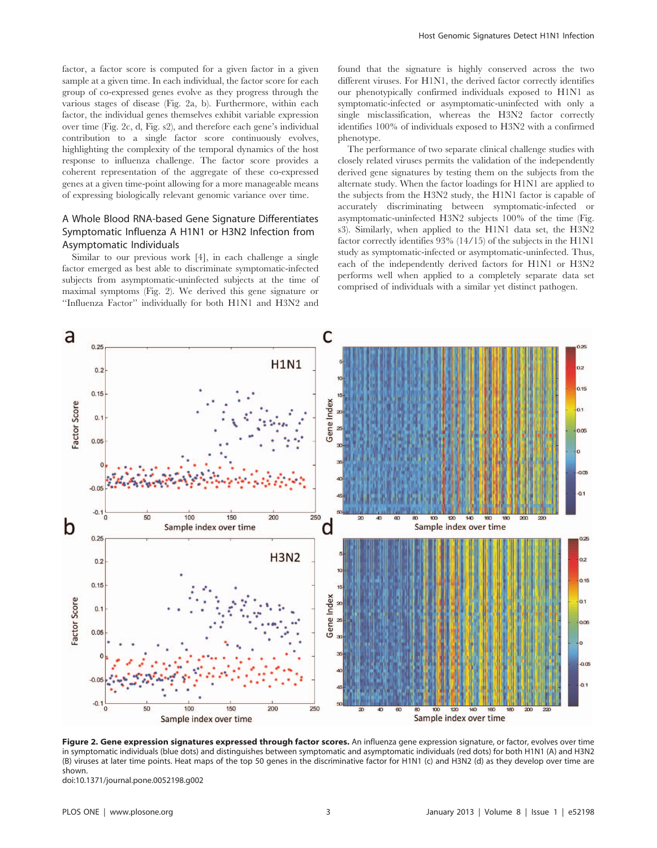factor, a factor score is computed for a given factor in a given sample at a given time. In each individual, the factor score for each group of co-expressed genes evolve as they progress through the various stages of disease (Fig. 2a, b). Furthermore, within each factor, the individual genes themselves exhibit variable expression over time (Fig. 2c, d, Fig. s2), and therefore each gene's individual contribution to a single factor score continuously evolves, highlighting the complexity of the temporal dynamics of the host response to influenza challenge. The factor score provides a coherent representation of the aggregate of these co-expressed genes at a given time-point allowing for a more manageable means of expressing biologically relevant genomic variance over time.

# A Whole Blood RNA-based Gene Signature Differentiates Symptomatic Influenza A H1N1 or H3N2 Infection from Asymptomatic Individuals

Similar to our previous work [4], in each challenge a single factor emerged as best able to discriminate symptomatic-infected subjects from asymptomatic-uninfected subjects at the time of maximal symptoms (Fig. 2). We derived this gene signature or ''Influenza Factor'' individually for both H1N1 and H3N2 and found that the signature is highly conserved across the two different viruses. For H1N1, the derived factor correctly identifies our phenotypically confirmed individuals exposed to H1N1 as symptomatic-infected or asymptomatic-uninfected with only a single misclassification, whereas the H3N2 factor correctly identifies 100% of individuals exposed to H3N2 with a confirmed phenotype.

The performance of two separate clinical challenge studies with closely related viruses permits the validation of the independently derived gene signatures by testing them on the subjects from the alternate study. When the factor loadings for H1N1 are applied to the subjects from the H3N2 study, the H1N1 factor is capable of accurately discriminating between symptomatic-infected or asymptomatic-uninfected H3N2 subjects 100% of the time (Fig. s3). Similarly, when applied to the H1N1 data set, the H3N2 factor correctly identifies 93% (14/15) of the subjects in the H1N1 study as symptomatic-infected or asymptomatic-uninfected. Thus, each of the independently derived factors for H1N1 or H3N2 performs well when applied to a completely separate data set comprised of individuals with a similar yet distinct pathogen.



Figure 2. Gene expression signatures expressed through factor scores. An influenza gene expression signature, or factor, evolves over time in symptomatic individuals (blue dots) and distinguishes between symptomatic and asymptomatic individuals (red dots) for both H1N1 (A) and H3N2 (B) viruses at later time points. Heat maps of the top 50 genes in the discriminative factor for H1N1 (c) and H3N2 (d) as they develop over time are shown.

doi:10.1371/journal.pone.0052198.g002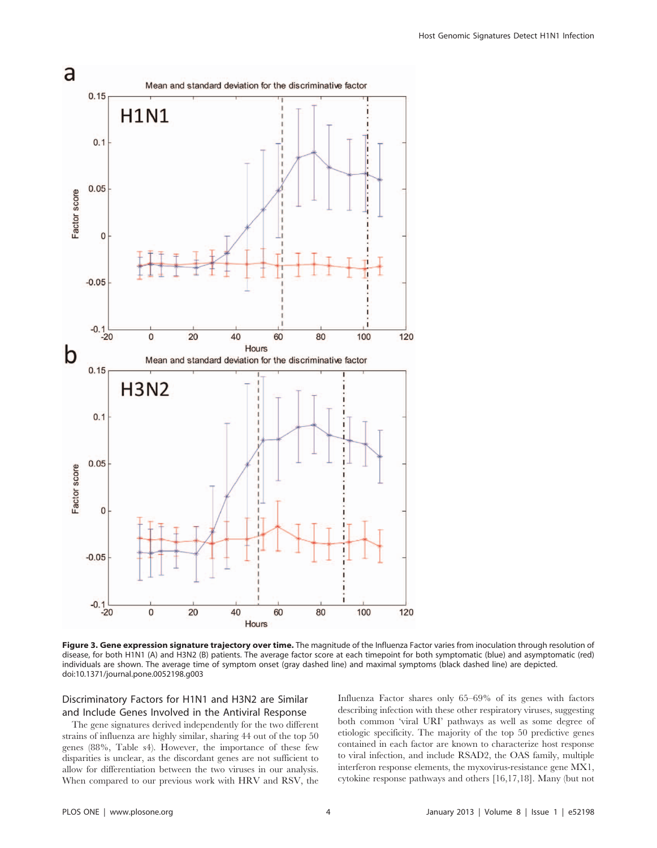

Figure 3. Gene expression signature trajectory over time. The magnitude of the Influenza Factor varies from inoculation through resolution of disease, for both H1N1 (A) and H3N2 (B) patients. The average factor score at each timepoint for both symptomatic (blue) and asymptomatic (red) individuals are shown. The average time of symptom onset (gray dashed line) and maximal symptoms (black dashed line) are depicted. doi:10.1371/journal.pone.0052198.g003

# Discriminatory Factors for H1N1 and H3N2 are Similar and Include Genes Involved in the Antiviral Response

The gene signatures derived independently for the two different strains of influenza are highly similar, sharing 44 out of the top 50 genes (88%, Table s4). However, the importance of these few disparities is unclear, as the discordant genes are not sufficient to allow for differentiation between the two viruses in our analysis. When compared to our previous work with HRV and RSV, the Influenza Factor shares only 65–69% of its genes with factors describing infection with these other respiratory viruses, suggesting both common 'viral URI' pathways as well as some degree of etiologic specificity. The majority of the top 50 predictive genes contained in each factor are known to characterize host response to viral infection, and include RSAD2, the OAS family, multiple interferon response elements, the myxovirus-resistance gene MX1, cytokine response pathways and others [16,17,18]. Many (but not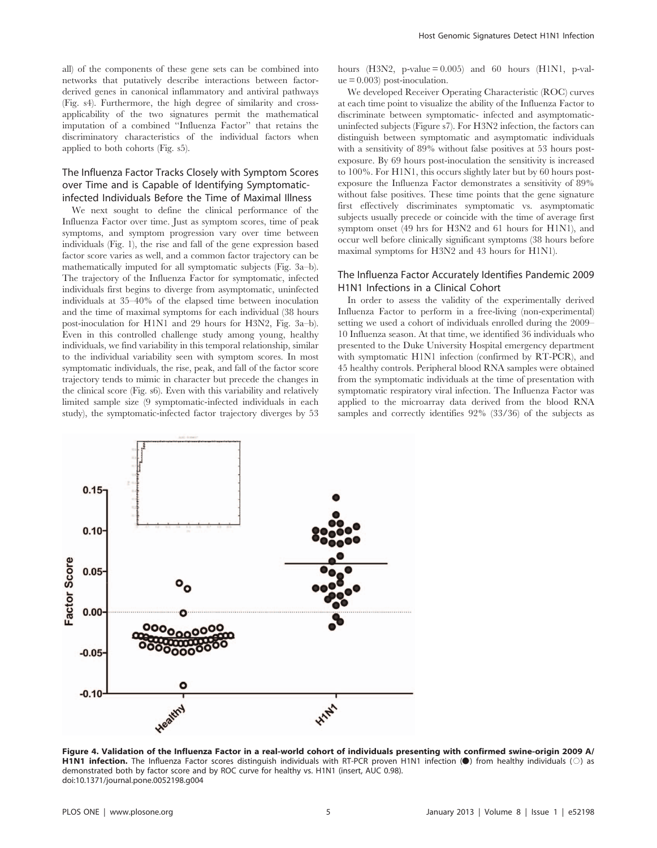all) of the components of these gene sets can be combined into networks that putatively describe interactions between factorderived genes in canonical inflammatory and antiviral pathways (Fig. s4). Furthermore, the high degree of similarity and crossapplicability of the two signatures permit the mathematical imputation of a combined ''Influenza Factor'' that retains the discriminatory characteristics of the individual factors when applied to both cohorts (Fig. s5).

# The Influenza Factor Tracks Closely with Symptom Scores over Time and is Capable of Identifying Symptomaticinfected Individuals Before the Time of Maximal Illness

We next sought to define the clinical performance of the Influenza Factor over time. Just as symptom scores, time of peak symptoms, and symptom progression vary over time between individuals (Fig. 1), the rise and fall of the gene expression based factor score varies as well, and a common factor trajectory can be mathematically imputed for all symptomatic subjects (Fig. 3a–b). The trajectory of the Influenza Factor for symptomatic, infected individuals first begins to diverge from asymptomatic, uninfected individuals at 35–40% of the elapsed time between inoculation and the time of maximal symptoms for each individual (38 hours post-inoculation for H1N1 and 29 hours for H3N2, Fig. 3a–b). Even in this controlled challenge study among young, healthy individuals, we find variability in this temporal relationship, similar to the individual variability seen with symptom scores. In most symptomatic individuals, the rise, peak, and fall of the factor score trajectory tends to mimic in character but precede the changes in the clinical score (Fig. s6). Even with this variability and relatively limited sample size (9 symptomatic-infected individuals in each study), the symptomatic-infected factor trajectory diverges by 53 hours (H3N2, p-value  $= 0.005$ ) and 60 hours (H1N1, p-val $ue = 0.003$  post-inoculation.

We developed Receiver Operating Characteristic (ROC) curves at each time point to visualize the ability of the Influenza Factor to discriminate between symptomatic- infected and asymptomaticuninfected subjects (Figure s7). For H3N2 infection, the factors can distinguish between symptomatic and asymptomatic individuals with a sensitivity of 89% without false positives at 53 hours postexposure. By 69 hours post-inoculation the sensitivity is increased to 100%. For H1N1, this occurs slightly later but by 60 hours postexposure the Influenza Factor demonstrates a sensitivity of 89% without false positives. These time points that the gene signature first effectively discriminates symptomatic vs. asymptomatic subjects usually precede or coincide with the time of average first symptom onset (49 hrs for H3N2 and 61 hours for H1N1), and occur well before clinically significant symptoms (38 hours before maximal symptoms for H3N2 and 43 hours for H1N1).

# The Influenza Factor Accurately Identifies Pandemic 2009 H1N1 Infections in a Clinical Cohort

In order to assess the validity of the experimentally derived Influenza Factor to perform in a free-living (non-experimental) setting we used a cohort of individuals enrolled during the 2009– 10 Influenza season. At that time, we identified 36 individuals who presented to the Duke University Hospital emergency department with symptomatic H1N1 infection (confirmed by RT-PCR), and 45 healthy controls. Peripheral blood RNA samples were obtained from the symptomatic individuals at the time of presentation with symptomatic respiratory viral infection. The Influenza Factor was applied to the microarray data derived from the blood RNA samples and correctly identifies 92% (33/36) of the subjects as



Figure 4. Validation of the Influenza Factor in a real-world cohort of individuals presenting with confirmed swine-origin 2009 A/<br>H1N1 infection. The Influenza Factor scores distinguish individuals with RT-PCR proven H1N1 demonstrated both by factor score and by ROC curve for healthy vs. H1N1 (insert, AUC 0.98). doi:10.1371/journal.pone.0052198.g004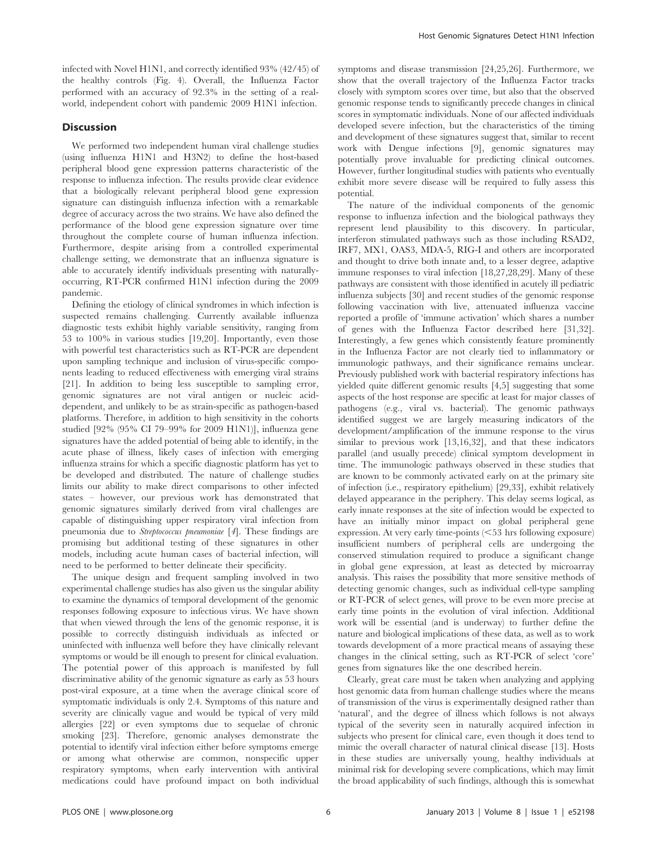infected with Novel H1N1, and correctly identified 93% (42/45) of the healthy controls (Fig. 4). Overall, the Influenza Factor performed with an accuracy of 92.3% in the setting of a realworld, independent cohort with pandemic 2009 H1N1 infection.

# Discussion

We performed two independent human viral challenge studies (using influenza H1N1 and H3N2) to define the host-based peripheral blood gene expression patterns characteristic of the response to influenza infection. The results provide clear evidence that a biologically relevant peripheral blood gene expression signature can distinguish influenza infection with a remarkable degree of accuracy across the two strains. We have also defined the performance of the blood gene expression signature over time throughout the complete course of human influenza infection. Furthermore, despite arising from a controlled experimental challenge setting, we demonstrate that an influenza signature is able to accurately identify individuals presenting with naturallyoccurring, RT-PCR confirmed H1N1 infection during the 2009 pandemic.

Defining the etiology of clinical syndromes in which infection is suspected remains challenging. Currently available influenza diagnostic tests exhibit highly variable sensitivity, ranging from 53 to 100% in various studies [19,20]. Importantly, even those with powerful test characteristics such as RT-PCR are dependent upon sampling technique and inclusion of virus-specific components leading to reduced effectiveness with emerging viral strains [21]. In addition to being less susceptible to sampling error, genomic signatures are not viral antigen or nucleic aciddependent, and unlikely to be as strain-specific as pathogen-based platforms. Therefore, in addition to high sensitivity in the cohorts studied [92% (95% CI 79–99% for 2009 H1N1)], influenza gene signatures have the added potential of being able to identify, in the acute phase of illness, likely cases of infection with emerging influenza strains for which a specific diagnostic platform has yet to be developed and distributed. The nature of challenge studies limits our ability to make direct comparisons to other infected states – however, our previous work has demonstrated that genomic signatures similarly derived from viral challenges are capable of distinguishing upper respiratory viral infection from pneumonia due to Streptococcus pneumoniae [4]. These findings are promising but additional testing of these signatures in other models, including acute human cases of bacterial infection, will need to be performed to better delineate their specificity.

The unique design and frequent sampling involved in two experimental challenge studies has also given us the singular ability to examine the dynamics of temporal development of the genomic responses following exposure to infectious virus. We have shown that when viewed through the lens of the genomic response, it is possible to correctly distinguish individuals as infected or uninfected with influenza well before they have clinically relevant symptoms or would be ill enough to present for clinical evaluation. The potential power of this approach is manifested by full discriminative ability of the genomic signature as early as 53 hours post-viral exposure, at a time when the average clinical score of symptomatic individuals is only 2.4. Symptoms of this nature and severity are clinically vague and would be typical of very mild allergies [22] or even symptoms due to sequelae of chronic smoking [23]. Therefore, genomic analyses demonstrate the potential to identify viral infection either before symptoms emerge or among what otherwise are common, nonspecific upper respiratory symptoms, when early intervention with antiviral medications could have profound impact on both individual symptoms and disease transmission [24,25,26]. Furthermore, we show that the overall trajectory of the Influenza Factor tracks closely with symptom scores over time, but also that the observed genomic response tends to significantly precede changes in clinical scores in symptomatic individuals. None of our affected individuals developed severe infection, but the characteristics of the timing and development of these signatures suggest that, similar to recent work with Dengue infections [9], genomic signatures may potentially prove invaluable for predicting clinical outcomes. However, further longitudinal studies with patients who eventually exhibit more severe disease will be required to fully assess this potential.

The nature of the individual components of the genomic response to influenza infection and the biological pathways they represent lend plausibility to this discovery. In particular, interferon stimulated pathways such as those including RSAD2, IRF7, MX1, OAS3, MDA-5, RIG-I and others are incorporated and thought to drive both innate and, to a lesser degree, adaptive immune responses to viral infection [18,27,28,29]. Many of these pathways are consistent with those identified in acutely ill pediatric influenza subjects [30] and recent studies of the genomic response following vaccination with live, attenuated influenza vaccine reported a profile of 'immune activation' which shares a number of genes with the Influenza Factor described here [31,32]. Interestingly, a few genes which consistently feature prominently in the Influenza Factor are not clearly tied to inflammatory or immunologic pathways, and their significance remains unclear. Previously published work with bacterial respiratory infections has yielded quite different genomic results [4,5] suggesting that some aspects of the host response are specific at least for major classes of pathogens (e.g., viral vs. bacterial). The genomic pathways identified suggest we are largely measuring indicators of the development/amplification of the immune response to the virus similar to previous work [13,16,32], and that these indicators parallel (and usually precede) clinical symptom development in time. The immunologic pathways observed in these studies that are known to be commonly activated early on at the primary site of infection (i.e., respiratory epithelium) [29,33], exhibit relatively delayed appearance in the periphery. This delay seems logical, as early innate responses at the site of infection would be expected to have an initially minor impact on global peripheral gene expression. At very early time-points  $(< 53$  hrs following exposure) insufficient numbers of peripheral cells are undergoing the conserved stimulation required to produce a significant change in global gene expression, at least as detected by microarray analysis. This raises the possibility that more sensitive methods of detecting genomic changes, such as individual cell-type sampling or RT-PCR of select genes, will prove to be even more precise at early time points in the evolution of viral infection. Additional work will be essential (and is underway) to further define the nature and biological implications of these data, as well as to work towards development of a more practical means of assaying these changes in the clinical setting, such as RT-PCR of select 'core' genes from signatures like the one described herein.

Clearly, great care must be taken when analyzing and applying host genomic data from human challenge studies where the means of transmission of the virus is experimentally designed rather than 'natural', and the degree of illness which follows is not always typical of the severity seen in naturally acquired infection in subjects who present for clinical care, even though it does tend to mimic the overall character of natural clinical disease [13]. Hosts in these studies are universally young, healthy individuals at minimal risk for developing severe complications, which may limit the broad applicability of such findings, although this is somewhat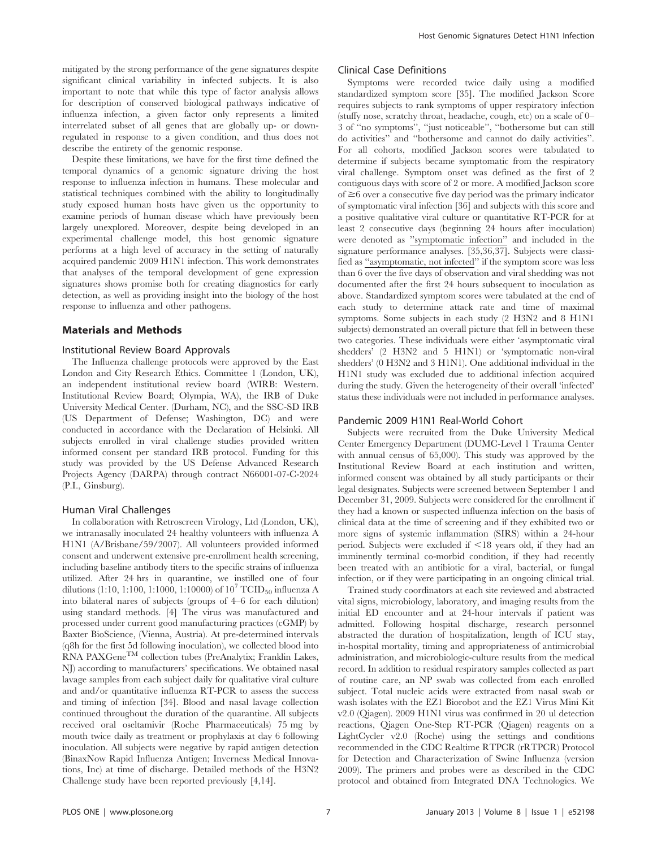mitigated by the strong performance of the gene signatures despite significant clinical variability in infected subjects. It is also important to note that while this type of factor analysis allows for description of conserved biological pathways indicative of influenza infection, a given factor only represents a limited interrelated subset of all genes that are globally up- or downregulated in response to a given condition, and thus does not describe the entirety of the genomic response.

Despite these limitations, we have for the first time defined the temporal dynamics of a genomic signature driving the host response to influenza infection in humans. These molecular and statistical techniques combined with the ability to longitudinally study exposed human hosts have given us the opportunity to examine periods of human disease which have previously been largely unexplored. Moreover, despite being developed in an experimental challenge model, this host genomic signature performs at a high level of accuracy in the setting of naturally acquired pandemic 2009 H1N1 infection. This work demonstrates that analyses of the temporal development of gene expression signatures shows promise both for creating diagnostics for early detection, as well as providing insight into the biology of the host response to influenza and other pathogens.

#### Materials and Methods

#### Institutional Review Board Approvals

The Influenza challenge protocols were approved by the East London and City Research Ethics. Committee 1 (London, UK), an independent institutional review board (WIRB: Western. Institutional Review Board; Olympia, WA), the IRB of Duke University Medical Center. (Durham, NC), and the SSC-SD IRB (US Department of Defense; Washington, DC) and were conducted in accordance with the Declaration of Helsinki. All subjects enrolled in viral challenge studies provided written informed consent per standard IRB protocol. Funding for this study was provided by the US Defense Advanced Research Projects Agency (DARPA) through contract N66001-07-C-2024 (P.I., Ginsburg).

#### Human Viral Challenges

In collaboration with Retroscreen Virology, Ltd (London, UK), we intranasally inoculated 24 healthy volunteers with influenza A H1N1 (A/Brisbane/59/2007). All volunteers provided informed consent and underwent extensive pre-enrollment health screening, including baseline antibody titers to the specific strains of influenza utilized. After 24 hrs in quarantine, we instilled one of four dilutions (1:10, 1:100, 1:1000, 1:10000) of  $10^7$  TCID<sub>50</sub> influenza A into bilateral nares of subjects (groups of 4–6 for each dilution) using standard methods. [4] The virus was manufactured and processed under current good manufacturing practices (cGMP) by Baxter BioScience, (Vienna, Austria). At pre-determined intervals (q8h for the first 5d following inoculation), we collected blood into RNA PAXGene<sup>TM</sup> collection tubes (PreAnalytix; Franklin Lakes, NJ) according to manufacturers' specifications. We obtained nasal lavage samples from each subject daily for qualitative viral culture and and/or quantitative influenza RT-PCR to assess the success and timing of infection [34]. Blood and nasal lavage collection continued throughout the duration of the quarantine. All subjects received oral oseltamivir (Roche Pharmaceuticals) 75 mg by mouth twice daily as treatment or prophylaxis at day 6 following inoculation. All subjects were negative by rapid antigen detection (BinaxNow Rapid Influenza Antigen; Inverness Medical Innovations, Inc) at time of discharge. Detailed methods of the H3N2 Challenge study have been reported previously [4,14].

#### Clinical Case Definitions

Symptoms were recorded twice daily using a modified standardized symptom score [35]. The modified Jackson Score requires subjects to rank symptoms of upper respiratory infection (stuffy nose, scratchy throat, headache, cough, etc) on a scale of 0– 3 of ''no symptoms'', ''just noticeable'', ''bothersome but can still do activities'' and ''bothersome and cannot do daily activities''. For all cohorts, modified Jackson scores were tabulated to determine if subjects became symptomatic from the respiratory viral challenge. Symptom onset was defined as the first of 2 contiguous days with score of 2 or more. A modified Jackson score of  $\geq 6$  over a consecutive five day period was the primary indicator of symptomatic viral infection [36] and subjects with this score and a positive qualitative viral culture or quantitative RT-PCR for at least 2 consecutive days (beginning 24 hours after inoculation) were denoted as ''symptomatic infection'' and included in the signature performance analyses. [35,36,37]. Subjects were classified as ''asymptomatic, not infected'' if the symptom score was less than 6 over the five days of observation and viral shedding was not documented after the first 24 hours subsequent to inoculation as above. Standardized symptom scores were tabulated at the end of each study to determine attack rate and time of maximal symptoms. Some subjects in each study (2 H3N2 and 8 H1N1 subjects) demonstrated an overall picture that fell in between these two categories. These individuals were either 'asymptomatic viral shedders' (2 H3N2 and 5 H1N1) or 'symptomatic non-viral shedders' (0 H3N2 and 3 H1N1). One additional individual in the H1N1 study was excluded due to additional infection acquired during the study. Given the heterogeneity of their overall 'infected' status these individuals were not included in performance analyses.

#### Pandemic 2009 H1N1 Real-World Cohort

Subjects were recruited from the Duke University Medical Center Emergency Department (DUMC-Level 1 Trauma Center with annual census of 65,000). This study was approved by the Institutional Review Board at each institution and written, informed consent was obtained by all study participants or their legal designates. Subjects were screened between September 1 and December 31, 2009. Subjects were considered for the enrollment if they had a known or suspected influenza infection on the basis of clinical data at the time of screening and if they exhibited two or more signs of systemic inflammation (SIRS) within a 24-hour period. Subjects were excluded if  $\leq 18$  years old, if they had an imminently terminal co-morbid condition, if they had recently been treated with an antibiotic for a viral, bacterial, or fungal infection, or if they were participating in an ongoing clinical trial.

Trained study coordinators at each site reviewed and abstracted vital signs, microbiology, laboratory, and imaging results from the initial ED encounter and at 24-hour intervals if patient was admitted. Following hospital discharge, research personnel abstracted the duration of hospitalization, length of ICU stay, in-hospital mortality, timing and appropriateness of antimicrobial administration, and microbiologic-culture results from the medical record. In addition to residual respiratory samples collected as part of routine care, an NP swab was collected from each enrolled subject. Total nucleic acids were extracted from nasal swab or wash isolates with the EZ1 Biorobot and the EZ1 Virus Mini Kit v2.0 (Qiagen). 2009 H1N1 virus was confirmed in 20 ul detection reactions, Qiagen One-Step RT-PCR (Qiagen) reagents on a LightCycler v2.0 (Roche) using the settings and conditions recommended in the CDC Realtime RTPCR (rRTPCR) Protocol for Detection and Characterization of Swine Influenza (version 2009). The primers and probes were as described in the CDC protocol and obtained from Integrated DNA Technologies. We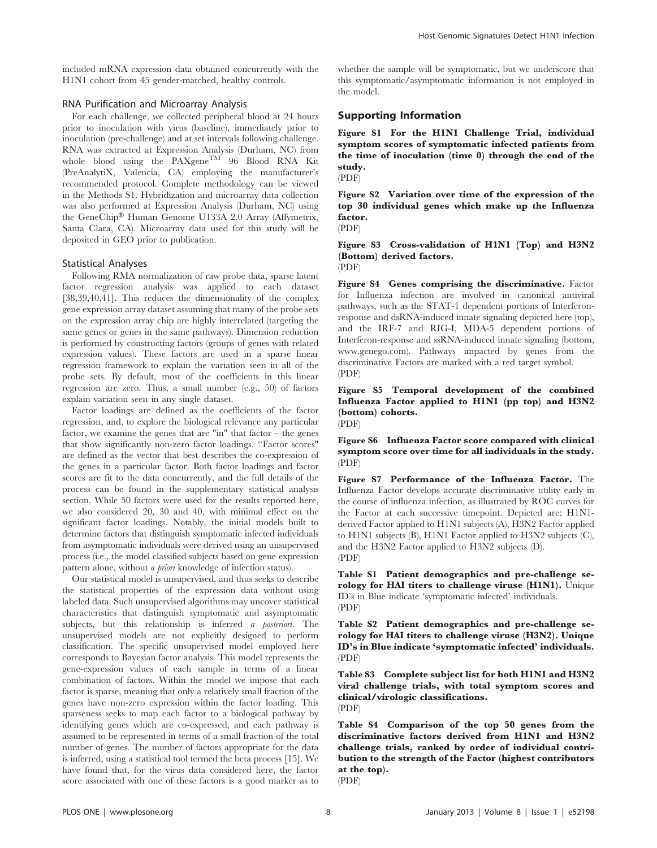# RNA Purification and Microarray Analysis

For each challenge, we collected peripheral blood at 24 hours prior to inoculation with virus (baseline), immediately prior to inoculation (pre-challenge) and at set intervals following challenge. RNA was extracted at Expression Analysis (Durham, NC) from whole blood using the  $PAX$ gene<sup>TM</sup> 96 Blood RNA Kit (PreAnalytiX, Valencia, CA) employing the manufacturer's recommended protocol. Complete methodology can be viewed in the Methods S1. Hybridization and microarray data collection was also performed at Expression Analysis (Durham, NC) using the GeneChip<sup>®</sup> Human Genome U133A 2.0 Array (Affymetrix, Santa Clara, CA). Microarray data used for this study will be deposited in GEO prior to publication.

# Statistical Analyses

Following RMA normalization of raw probe data, sparse latent factor regression analysis was applied to each dataset [38,39,40,41]. This reduces the dimensionality of the complex gene expression array dataset assuming that many of the probe sets on the expression array chip are highly interrelated (targeting the same genes or genes in the same pathways). Dimension reduction is performed by constructing factors (groups of genes with related expression values). These factors are used in a sparse linear regression framework to explain the variation seen in all of the probe sets. By default, most of the coefficients in this linear regression are zero. Thus, a small number (e.g., 50) of factors explain variation seen in any single dataset.

Factor loadings are defined as the coefficients of the factor regression, and, to explore the biological relevance any particular factor, we examine the genes that are "in" that factor – the genes that show significantly non-zero factor loadings. ''Factor scores" are defined as the vector that best describes the co-expression of the genes in a particular factor. Both factor loadings and factor scores are fit to the data concurrently, and the full details of the process can be found in the supplementary statistical analysis section. While 50 factors were used for the results reported here, we also considered 20, 30 and 40, with minimal effect on the significant factor loadings. Notably, the initial models built to determine factors that distinguish symptomatic infected individuals from asymptomatic individuals were derived using an unsupervised process (i.e., the model classified subjects based on gene expression pattern alone, without a priori knowledge of infection status).

Our statistical model is unsupervised, and thus seeks to describe the statistical properties of the expression data without using labeled data. Such unsupervised algorithms may uncover statistical characteristics that distinguish symptomatic and asymptomatic subjects, but this relationship is inferred a posteriori. The unsupervised models are not explicitly designed to perform classification. The specific unsupervised model employed here corresponds to Bayesian factor analysis. This model represents the gene-expression values of each sample in terms of a linear combination of factors. Within the model we impose that each factor is sparse, meaning that only a relatively small fraction of the genes have non-zero expression within the factor loading. This sparseness seeks to map each factor to a biological pathway by identifying genes which are co-expressed, and each pathway is assumed to be represented in terms of a small fraction of the total number of genes. The number of factors appropriate for the data is inferred, using a statistical tool termed the beta process [15]. We have found that, for the virus data considered here, the factor score associated with one of these factors is a good marker as to whether the sample will be symptomatic, but we underscore that this symptomatic/asymptomatic information is not employed in the model.

# Supporting Information

Figure S1 For the H1N1 Challenge Trial, individual symptom scores of symptomatic infected patients from the time of inoculation (time 0) through the end of the study.

(PDF)

Figure S2 Variation over time of the expression of the top 30 individual genes which make up the Influenza factor.

(PDF)

Figure S3 Cross-validation of H1N1 (Top) and H3N2 (Bottom) derived factors. (PDF)

Figure S4 Genes comprising the discriminative. Factor for Influenza infection are involved in canonical antiviral pathways, such as the STAT-1 dependent portions of Interferonresponse and dsRNA-induced innate signaling depicted here (top), and the IRF-7 and RIG-I, MDA-5 dependent portions of Interferon-response and ssRNA-induced innate signaling (bottom, www.genego.com). Pathways impacted by genes from the discriminative Factors are marked with a red target symbol. (PDF)

Figure S5 Temporal development of the combined Influenza Factor applied to H1N1 (pp top) and H3N2 (bottom) cohorts. (PDF)

Figure S6 Influenza Factor score compared with clinical symptom score over time for all individuals in the study. (PDF)

Figure S7 Performance of the Influenza Factor. The Influenza Factor develops accurate discriminative utility early in the course of influenza infection, as illustrated by ROC curves for the Factor at each successive timepoint. Depicted are: H1N1 derived Factor applied to H1N1 subjects (A), H3N2 Factor applied to H1N1 subjects (B), H1N1 Factor applied to H3N2 subjects (C), and the H3N2 Factor applied to H3N2 subjects (D). (PDF)

Table S1 Patient demographics and pre-challenge serology for HAI titers to challenge viruse (H1N1). Unique ID's in Blue indicate 'symptomatic infected' individuals. (PDF)

Table S2 Patient demographics and pre-challenge serology for HAI titers to challenge viruse (H3N2). Unique ID's in Blue indicate 'symptomatic infected' individuals. (PDF)

Table S3 Complete subject list for both H1N1 and H3N2 viral challenge trials, with total symptom scores and clinical/virologic classifications. (PDF)

Table S4 Comparison of the top 50 genes from the discriminative factors derived from H1N1 and H3N2 challenge trials, ranked by order of individual contribution to the strength of the Factor (highest contributors at the top).

(PDF)